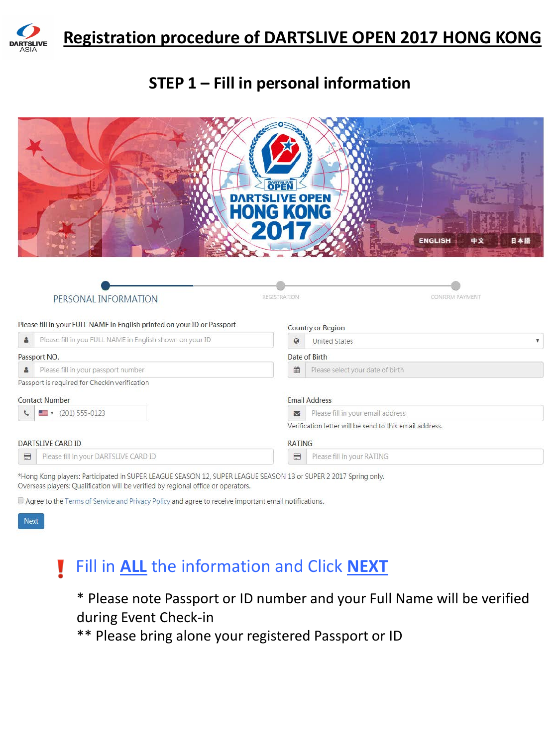

#### **STEP 1 – Fill in personal information**

| <b>ENGLISH</b><br>中文<br>日本語<br>REGISTRATION<br><b>CONFIRM PAYMENT</b><br>PERSONAL INFORMATION<br>Please fill in your FULL NAME in English printed on your ID or Passport<br><b>Country or Region</b><br>Please fill in you FULL NAME in English shown on your ID<br>å<br>$\boldsymbol{Q}$<br><b>United States</b><br>Date of Birth<br>Passport NO.<br>Please fill in your passport number<br>曲<br>Please select your date of birth<br>å<br>Passport is required for Checkin verification<br><b>Email Address</b><br><b>Contact Number</b> |   |                          | OPEN<br>DARTSLIVE OPEN<br><b>HONG KONG</b> |                                   |  |
|-------------------------------------------------------------------------------------------------------------------------------------------------------------------------------------------------------------------------------------------------------------------------------------------------------------------------------------------------------------------------------------------------------------------------------------------------------------------------------------------------------------------------------------------|---|--------------------------|--------------------------------------------|-----------------------------------|--|
|                                                                                                                                                                                                                                                                                                                                                                                                                                                                                                                                           |   |                          |                                            |                                   |  |
|                                                                                                                                                                                                                                                                                                                                                                                                                                                                                                                                           |   |                          |                                            |                                   |  |
|                                                                                                                                                                                                                                                                                                                                                                                                                                                                                                                                           |   |                          |                                            |                                   |  |
|                                                                                                                                                                                                                                                                                                                                                                                                                                                                                                                                           |   |                          |                                            |                                   |  |
| Verification letter will be send to this email address.                                                                                                                                                                                                                                                                                                                                                                                                                                                                                   | J | $\bullet$ (201) 555-0123 | $\sum$                                     | Please fill in your email address |  |
| <b>DARTSLIVE CARD ID</b><br><b>RATING</b>                                                                                                                                                                                                                                                                                                                                                                                                                                                                                                 |   |                          |                                            |                                   |  |
| Please fill in your DARTSLIVE CARD ID<br>$\qquad \qquad \qquad \qquad \qquad \qquad \qquad \qquad \qquad \qquad$<br>Please fill in your RATING<br>$\qquad \qquad \blacksquare$                                                                                                                                                                                                                                                                                                                                                            |   |                          |                                            |                                   |  |

\*Hong Kong players: Participated in SUPER LEAGUE SEASON 12, SUPER LEAGUE SEASON 13 or SUPER 2 2017 Spring only. Overseas players: Qualification will be verified by regional office or operators.

Agree to the Terms of Service and Privacy Policy and agree to receive important email notifications.

Next

#### Fill in **ALL** the information and Click **NEXT** Ų

\* Please note Passport or ID number and your Full Name will be verified during Event Check-in

\*\* Please bring alone your registered Passport or ID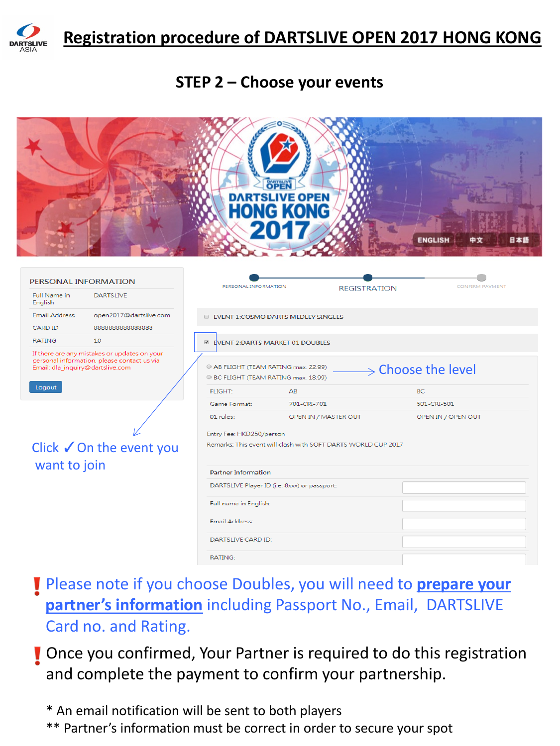

#### **STEP 2 – Choose your events**



- Please note if you choose Doubles, you will need to **prepare your partner's information** including Passport No., Email, DARTSLIVE Card no. and Rating.
- **T** Once you confirmed, Your Partner is required to do this registration and complete the payment to confirm your partnership.

\* An email notification will be sent to both players

\*\* Partner's information must be correct in order to secure your spot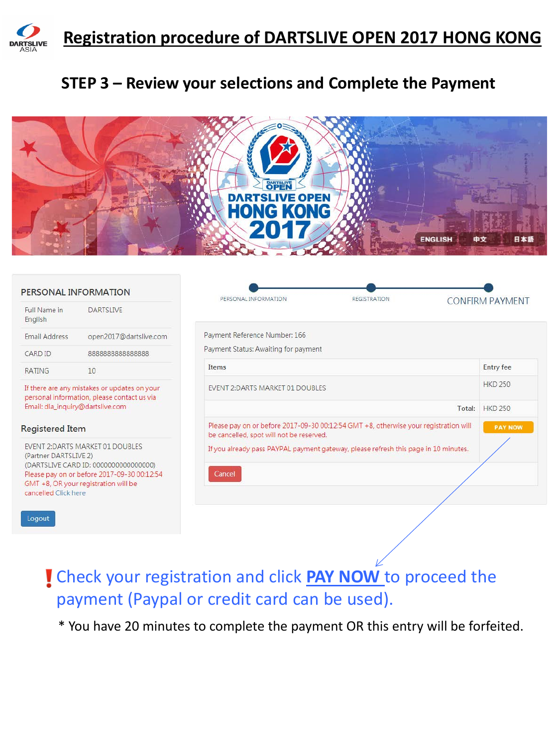

### **STEP 3 – Review your selections and Complete the Payment**



| Payment Reference Number: 166<br>Payment Status: Awaiting for payment<br>Items                                                   | <b>CONFIRM PAYMENT</b> |
|----------------------------------------------------------------------------------------------------------------------------------|------------------------|
|                                                                                                                                  |                        |
|                                                                                                                                  |                        |
|                                                                                                                                  |                        |
|                                                                                                                                  | <b>Entry fee</b>       |
| EVENT 2:DARTS MARKET 01 DOUBLES                                                                                                  | <b>HKD 250</b>         |
| Total:                                                                                                                           | <b>HKD 250</b>         |
| Please pay on or before 2017-09-30 00:12:54 GMT +8, otherwise your registration will<br>be cancelled, spot will not be reserved. | <b>PAY NOW</b>         |
| If you already pass PAYPAL payment gateway, please refresh this page in 10 minutes.                                              |                        |
| Cancel                                                                                                                           |                        |
|                                                                                                                                  |                        |
|                                                                                                                                  |                        |

Check your registration and click **PAY NOW** to proceed the payment (Paypal or credit card can be used).

\* You have 20 minutes to complete the payment OR this entry will be forfeited.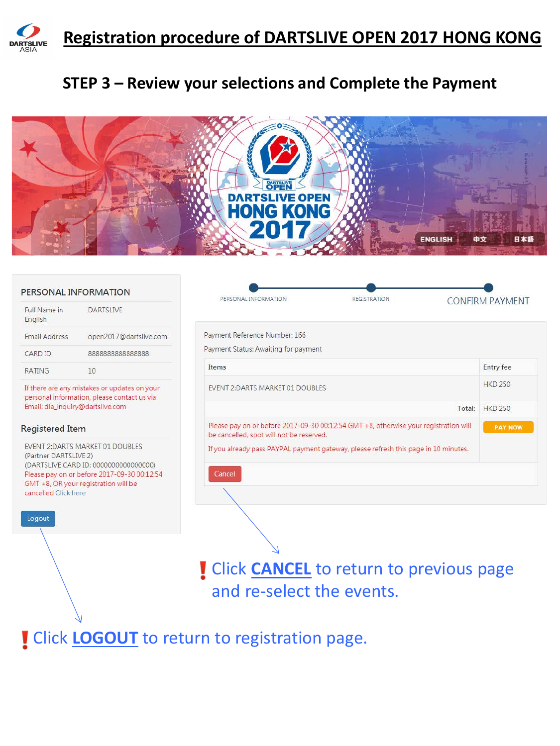

### **STEP 3 – Review your selections and Complete the Payment**



|                                                                                                                                                                                                                   | PERSONAL INFORMATION   | PERSONAL INFORMATION<br><b>REGISTRATION</b>                                                                                      | <b>CONFIRM PAYMENT</b> |
|-------------------------------------------------------------------------------------------------------------------------------------------------------------------------------------------------------------------|------------------------|----------------------------------------------------------------------------------------------------------------------------------|------------------------|
| Full Name in<br>English                                                                                                                                                                                           | <b>DARTSI IVE</b>      |                                                                                                                                  |                        |
| <b>Email Address</b>                                                                                                                                                                                              | open2017@dartslive.com | Payment Reference Number: 166                                                                                                    |                        |
| CARD ID                                                                                                                                                                                                           | 888888888888888        | Payment Status: Awaiting for payment                                                                                             |                        |
| <b>RATING</b>                                                                                                                                                                                                     | 10                     | Items                                                                                                                            | <b>Entry fee</b>       |
| If there are any mistakes or updates on your<br>personal information, please contact us via<br>Email: dla_inquiry@dartslive.com                                                                                   |                        | <b>EVENT 2: DARTS MARKET 01 DOUBLES</b>                                                                                          | <b>HKD 250</b>         |
|                                                                                                                                                                                                                   |                        | Total:                                                                                                                           | <b>HKD 250</b>         |
| <b>Registered Item</b>                                                                                                                                                                                            |                        | Please pay on or before 2017-09-30 00:12:54 GMT +8, otherwise your registration will<br>be cancelled, spot will not be reserved. | <b>PAY NOW</b>         |
| EVENT 2:DARTS MARKET 01 DOUBLES<br>(Partner DARTSLIVE 2)<br>(DARTSLIVE CARD ID: 0000000000000000)<br>Please pay on or before 2017-09-30 00:12:54<br>GMT +8, OR your registration will be<br>cancelled Click here. |                        | If you already pass PAYPAL payment gateway, please refresh this page in 10 minutes.<br>Cancel                                    |                        |
| Logout                                                                                                                                                                                                            |                        |                                                                                                                                  |                        |

**!** Click **CANCEL** to return to previous page and re-select the events.

**I** Click **LOGOUT** to return to registration page.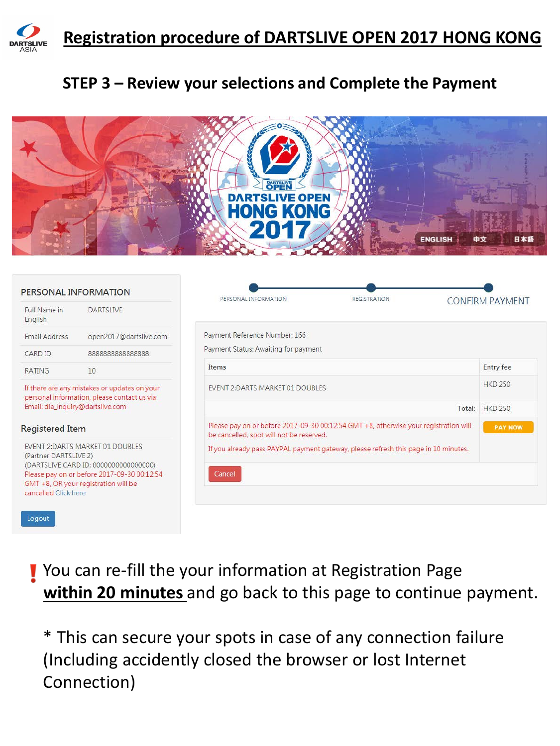

### **STEP 3 – Review your selections and Complete the Payment**



|                                                                                                                                                                                                                   | PERSONAL INFORMATION   | PERSONAL INFORMATION<br><b>REGISTRATION</b>                                                                                      | <b>CONFIRM PAYMENT</b> |  |  |  |
|-------------------------------------------------------------------------------------------------------------------------------------------------------------------------------------------------------------------|------------------------|----------------------------------------------------------------------------------------------------------------------------------|------------------------|--|--|--|
| Full Name in<br>English                                                                                                                                                                                           | <b>DARTSI IVE</b>      |                                                                                                                                  |                        |  |  |  |
| <b>Email Address</b>                                                                                                                                                                                              | open2017@dartslive.com | Payment Reference Number: 166                                                                                                    |                        |  |  |  |
| CARD ID                                                                                                                                                                                                           | 888888888888888        | Payment Status: Awaiting for payment                                                                                             |                        |  |  |  |
| 10<br><b>RATING</b>                                                                                                                                                                                               |                        | <b>Items</b>                                                                                                                     | <b>Entry fee</b>       |  |  |  |
| If there are any mistakes or updates on your<br>personal information, please contact us via                                                                                                                       |                        | <b>EVENT 2:DARTS MARKET 01 DOUBLES</b>                                                                                           | <b>HKD 250</b>         |  |  |  |
| Email: dla_inquiry@dartslive.com                                                                                                                                                                                  |                        | Total:                                                                                                                           | <b>HKD 250</b>         |  |  |  |
| <b>Registered Item</b>                                                                                                                                                                                            |                        | Please pay on or before 2017-09-30 00:12:54 GMT +8, otherwise your registration will<br>be cancelled, spot will not be reserved. | <b>PAY NOW</b>         |  |  |  |
| EVENT 2:DARTS MARKET 01 DOUBLES<br>(Partner DARTSLIVE 2)<br>(DARTSLIVE CARD ID: 0000000000000000)<br>Please pay on or before 2017-09-30 00:12:54<br>GMT +8, OR your registration will be<br>cancelled Click here. |                        | If you already pass PAYPAL payment gateway, please refresh this page in 10 minutes.<br>Cancel                                    |                        |  |  |  |

You can re-fill the your information at Registration Page **within 20 minutes** and go back to this page to continue payment.

\* This can secure your spots in case of any connection failure (Including accidently closed the browser or lost Internet Connection)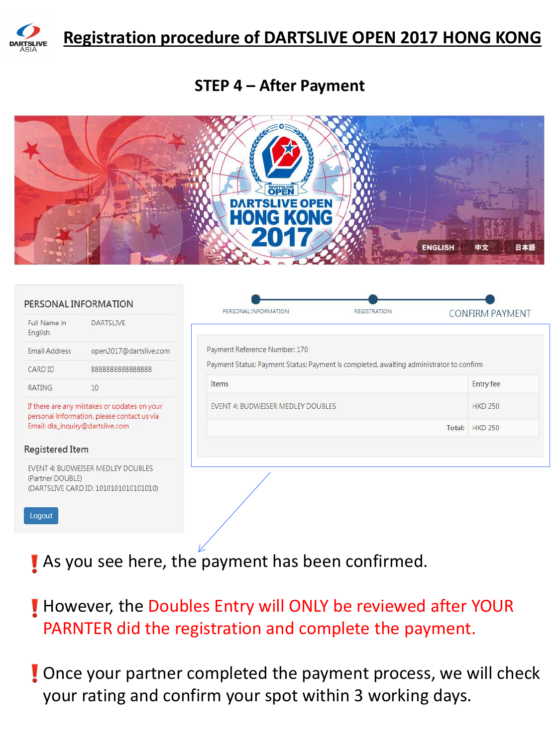

#### **STEP 4 – After Payment**



| PERSONAL INFORMATION       |                                                                                             | PERSONAL INFORMATION                                                                    | <b>REGISTRATION</b> | <b>CONFIRM PAYMENT</b> |
|----------------------------|---------------------------------------------------------------------------------------------|-----------------------------------------------------------------------------------------|---------------------|------------------------|
| Full Name in<br>English    | <b>DARTSLIVE</b>                                                                            |                                                                                         |                     |                        |
| Email Address              | open2017@dartslive.com                                                                      | Payment Reference Number: 170                                                           |                     |                        |
| CARD ID                    | 888888888888888                                                                             | Payment Status: Payment Status: Payment is completed, awaiting administrator to confirm |                     |                        |
| <b>RATING</b>              | 10                                                                                          | Items                                                                                   |                     | <b>Entry fee</b>       |
|                            | If there are any mistakes or updates on your<br>personal information, please contact us via | EVENT 4: BUDWEISER MEDLEY DOUBLES                                                       |                     | <b>HKD 250</b>         |
|                            | Email: dla_inquiry@dartslive.com                                                            |                                                                                         |                     | Total: HKD 250         |
| <b>Registered Item</b>     |                                                                                             |                                                                                         |                     |                        |
| (Partner DOUBLE)<br>Logout | EVENT 4: BUDWEISER MEDLEY DOUBLES<br>(DARTSLIVE CARD ID: 1010101010101010)                  |                                                                                         |                     |                        |

As you see here, the payment has been confirmed.

However, the Doubles Entry will ONLY be reviewed after YOUR PARNTER did the registration and complete the payment.

**Once your partner completed the payment process, we will check** your rating and confirm your spot within 3 working days.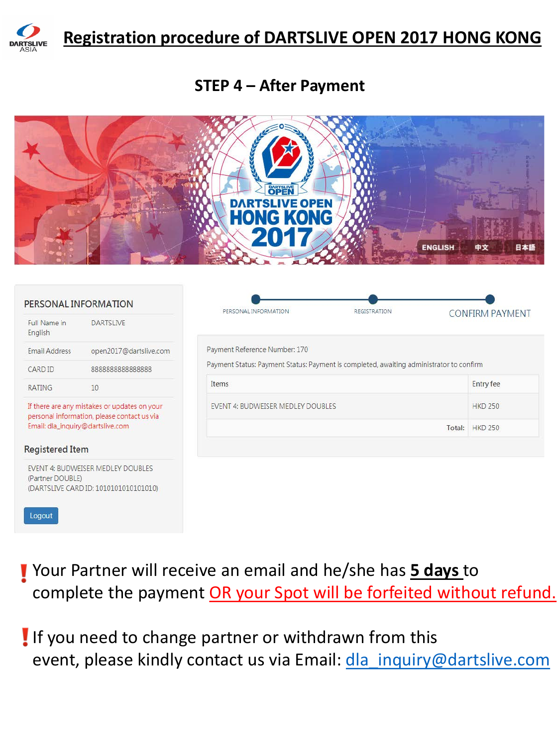

#### **STEP 4 – After Payment**



| Payment Reference Number: 170     |                                                                                         |  |  |  |  |
|-----------------------------------|-----------------------------------------------------------------------------------------|--|--|--|--|
|                                   |                                                                                         |  |  |  |  |
|                                   |                                                                                         |  |  |  |  |
|                                   | Payment Status: Payment Status: Payment is completed, awaiting administrator to confirm |  |  |  |  |
| <b>Items</b>                      | <b>Entry fee</b>                                                                        |  |  |  |  |
| EVENT 4: BUDWEISER MEDLEY DOUBLES | <b>HKD 250</b>                                                                          |  |  |  |  |
|                                   | Total: HKD 250                                                                          |  |  |  |  |
|                                   |                                                                                         |  |  |  |  |
|                                   |                                                                                         |  |  |  |  |
|                                   |                                                                                         |  |  |  |  |

Your Partner will receive an email and he/she has **5 days** to complete the payment OR your Spot will be forfeited without refund.

If you need to change partner or withdrawn from this event, please kindly contact us via Email: [dla\\_inquiry@dartslive.com](mailto:dla_inquiry@dartslive.com)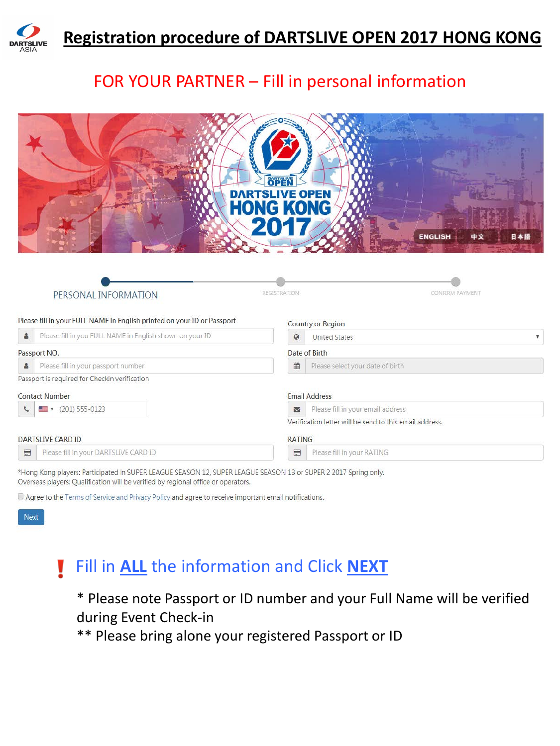

## FOR YOUR PARTNER – Fill in personal information

|                                                                                                                    | OPEN<br>DARTSLIVE OPEN<br><b>HONG KONG</b><br><b>ENGLISH</b><br>中文<br>日本語 |
|--------------------------------------------------------------------------------------------------------------------|---------------------------------------------------------------------------|
| PERSONAL INFORMATION<br>Please fill in your FULL NAME in English printed on your ID or Passport                    | REGISTRATION<br><b>CONFIRM PAYMENT</b>                                    |
|                                                                                                                    | <b>Country or Region</b>                                                  |
| Please fill in you FULL NAME in English shown on your ID<br>å                                                      | $\mathcal{Q}$<br><b>United States</b>                                     |
| Passport NO.                                                                                                       | Date of Birth                                                             |
| Please fill in your passport number                                                                                | Please select your date of birth<br>曲                                     |
| Passport is required for Checkin verification                                                                      |                                                                           |
| <b>Contact Number</b>                                                                                              | <b>Email Address</b>                                                      |
| $\bullet$ (201) 555-0123                                                                                           | Please fill in your email address<br>$\overline{\mathbf{v}}$              |
|                                                                                                                    | Verification letter will be send to this email address.                   |
| <b>DARTSLIVE CARD ID</b>                                                                                           | <b>RATING</b>                                                             |
| Please fill in your DARTSLIVE CARD ID<br>$\blacksquare$                                                            | $\equiv$<br>Please fill in your RATING                                    |
| *Hong Kong players: Participated in CLIDER LEACLIE CEACON 12 CLIDER LEACLIE CEACON 12 or CLIDER 2 2017 Chrisp only |                                                                           |

\*Hong Kong players: Participated in SUPER LEAGUE SEASON 12, SUPER LEAGUE SEASON 13 or SUPER 2 2017 Spring only. Overseas players: Qualification will be verified by regional office or operators.

Agree to the Terms of Service and Privacy Policy and agree to receive important email notifications.



#### Fill in **ALL** the information and Click **NEXT** V

\* Please note Passport or ID number and your Full Name will be verified during Event Check-in

\*\* Please bring alone your registered Passport or ID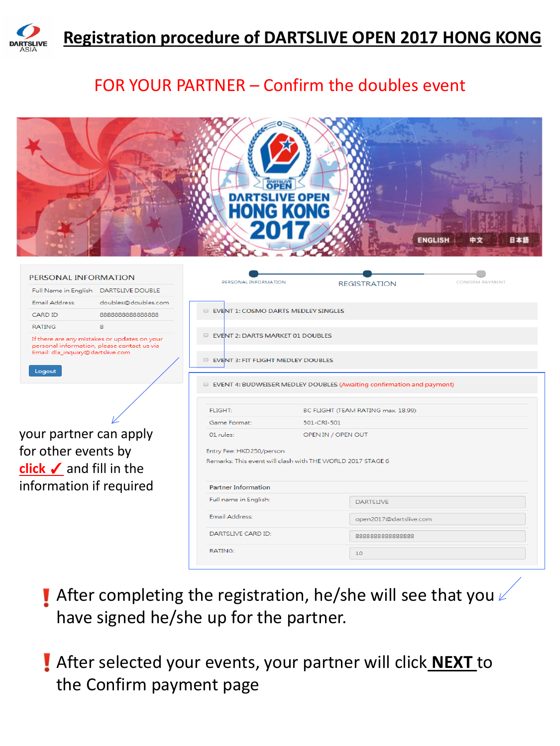

## FOR YOUR PARTNER – Confirm the doubles event

|                                                                                                                                                       | <b>DARTSLIVE OPEN</b><br><b>HONG KONG</b>                                                                   |                    | <b>ENGLISH</b>                     | 中文<br>日本銀              |
|-------------------------------------------------------------------------------------------------------------------------------------------------------|-------------------------------------------------------------------------------------------------------------|--------------------|------------------------------------|------------------------|
| PERSONAL INFORMATION<br>Full Name in English DARTSLIVE DOUBLE                                                                                         | PERSONAL INFORMATION                                                                                        |                    | <b>REGISTRATION</b>                | <b>CONFIRM PAYMENT</b> |
| <b>Email Address</b><br>doubles@doubles.com<br>CARD ID<br>888888888888888                                                                             | EVENT 1: COSMO DARTS MEDLEY SINGLES                                                                         |                    |                                    |                        |
| <b>RATING</b><br>8<br>If there are any mistakes or updates on your<br>personal information, please contact us via<br>Email: dla_inquiry@dartslive.com | EVENT 2: DARTS MARKET 01 DOUBLES                                                                            |                    |                                    |                        |
| Logout                                                                                                                                                | EVENT 3: FIT FLIGHT MEDLEY DOUBLES<br>EVENT 4: BUDWEISER MEDLEY DOUBLES (Awaiting confirmation and payment) |                    |                                    |                        |
|                                                                                                                                                       |                                                                                                             |                    |                                    |                        |
|                                                                                                                                                       | <b>FLIGHT:</b>                                                                                              |                    | BC FLIGHT (TEAM RATING max. 18.99) |                        |
|                                                                                                                                                       | Game Format:                                                                                                | 501-CRI-501        |                                    |                        |
| your partner can apply                                                                                                                                | 01 rules:                                                                                                   | OPEN IN / OPEN OUT |                                    |                        |
| for other events by<br>click $\checkmark$ and fill in the                                                                                             | Entry Fee: HKD250/person<br>Remarks: This event will clash with THE WORLD 2017 STAGE 6                      |                    |                                    |                        |
| information if required                                                                                                                               | <b>Partner Information</b>                                                                                  |                    |                                    |                        |
|                                                                                                                                                       | Full name in English:                                                                                       |                    | <b>DARTSLIVE</b>                   |                        |
|                                                                                                                                                       | Email Address:                                                                                              |                    | open2017@dartslive.com             |                        |
|                                                                                                                                                       | DARTSLIVE CARD ID:                                                                                          |                    | 888888888888888                    |                        |
|                                                                                                                                                       | <b>RATING:</b>                                                                                              |                    | 10                                 |                        |

- **I** After completing the registration, he/she will see that you  $\ell$ have signed he/she up for the partner.
- After selected your events, your partner will click **NEXT** to the Confirm payment page